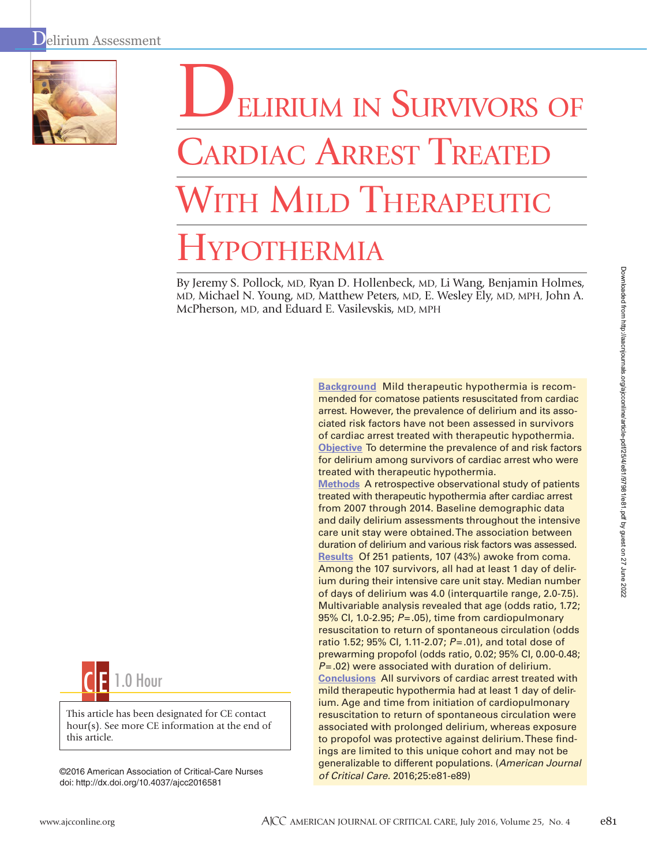

# ELIRIUM IN SURVIVORS OF **CARDIAC ARREST TREATE THE MILD THERAPEUTIC** YPOTHERMIA

By Jeremy S. Pollock, MD, Ryan D. Hollenbeck, MD, Li Wang, Benjamin Holmes, MD, Michael N. Young, MD, Matthew Peters, MD, E. Wesley Ely, MD, MPH, John A. McPherson, MD, and Eduard E. Vasilevskis, MD, MPH



**Methods** A retrospective observational study of patients treated with therapeutic hypothermia after cardiac arrest from 2007 through 2014. Baseline demographic data and daily delirium assessments throughout the intensive care unit stay were obtained. The association between duration of delirium and various risk factors was assessed. **Results** Of 251 patients, 107 (43%) awoke from coma. Among the 107 survivors, all had at least 1 day of delirium during their intensive care unit stay. Median number of days of delirium was 4.0 (interquartile range, 2.0-7.5). Multivariable analysis revealed that age (odds ratio, 1.72; 95% CI, 1.0-2.95; *P*=.05), time from cardiopulmonary resuscitation to return of spontaneous circulation (odds ratio 1.52; 95% CI, 1.11-2.07; *P*=.01), and total dose of prewarming propofol (odds ratio, 0.02; 95% CI, 0.00-0.48; *P*=.02) were associated with duration of delirium. **Conclusions** All survivors of cardiac arrest treated with mild therapeutic hypothermia had at least 1 day of delirium. Age and time from initiation of cardiopulmonary resuscitation to return of spontaneous circulation were associated with prolonged delirium, whereas exposure to propofol was protective against delirium. These findings are limited to this unique cohort and may not be generalizable to different populations. (*American Journal of Critical Care.* 2016;25:e81-e89)



This article has been designated for CE contact hour(s). See more CE information at the end of this article.

©2016 American Association of Critical-Care Nurses doi: http://dx.doi.org/10.4037/ajcc2016581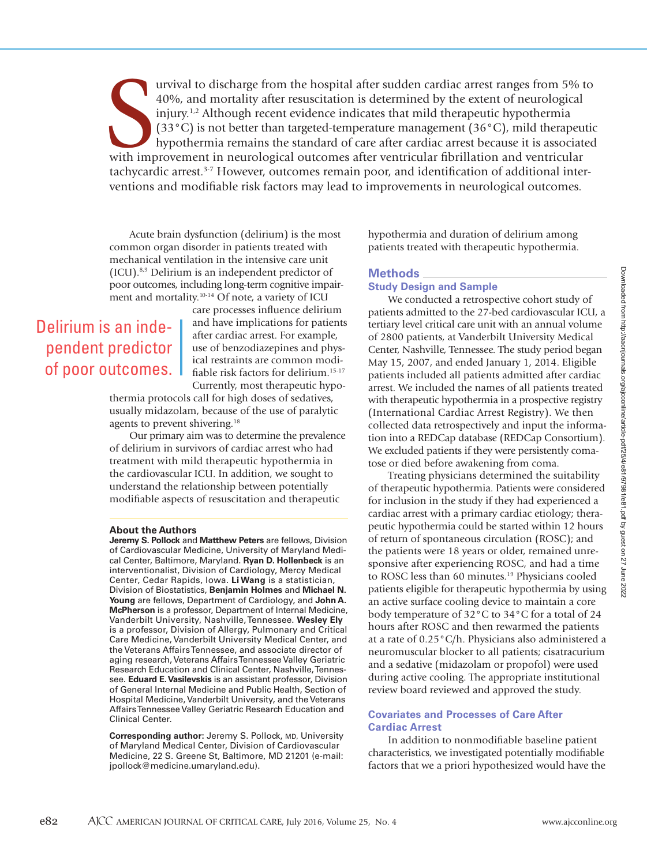urvival to discharge from the hospital after sudden cardiac arrest ranges from 5% t<br>40%, and mortality after resuscitation is determined by the extent of neurological<br>injury.<sup>1,2</sup> Although recent evidence indicates that mi urvival to discharge from the hospital after sudden cardiac arrest ranges from 5% to 40%, and mortality after resuscitation is determined by the extent of neurological injury.1,2 Although recent evidence indicates that mild therapeutic hypothermia (33°C) is not better than targeted-temperature management (36°C), mild therapeutic hypothermia remains the standard of care after cardiac arrest because it is associated tachycardic arrest.<sup>3-7</sup> However, outcomes remain poor, and identification of additional interventions and modifiable risk factors may lead to improvements in neurological outcomes.

Acute brain dysfunction (delirium) is the most common organ disorder in patients treated with mechanical ventilation in the intensive care unit (ICU).8,9 Delirium is an independent predictor of poor outcomes, including long-term cognitive impairment and mortality.10-14 Of note, a variety of ICU

# Delirium is an independent predictor of poor outcomes.

care processes influence delirium and have implications for patients after cardiac arrest. For example, use of benzodiazepines and physical restraints are common modifiable risk factors for delirium.15-17 Currently, most therapeutic hypo-

thermia protocols call for high doses of sedatives, usually midazolam, because of the use of paralytic agents to prevent shivering.<sup>18</sup>

Our primary aim was to determine the prevalence of delirium in survivors of cardiac arrest who had treatment with mild therapeutic hypothermia in the cardiovascular ICU. In addition, we sought to understand the relationship between potentially modifiable aspects of resuscitation and therapeutic

#### **About the Authors**

**Jeremy S. Pollock** and **Matthew Peters** are fellows, Division of Cardiovascular Medicine, University of Maryland Medical Center, Baltimore, Maryland. **Ryan D. Hollenbeck** is an interventionalist, Division of Cardiology, Mercy Medical Center, Cedar Rapids, Iowa. **Li Wang** is a statistician, Division of Biostatistics, **Benjamin Holmes** and **Michael N. Young** are fellows, Department of Cardiology, and **John A. McPherson** is a professor, Department of Internal Medicine, Vanderbilt University, Nashville, Tennessee. **Wesley Ely** is a professor, Division of Allergy, Pulmonary and Critical Care Medicine, Vanderbilt University Medical Center, and the Veterans Affairs Tennessee, and associate director of aging research, Veterans Affairs Tennessee Valley Geriatric Research Education and Clinical Center, Nashville, Tennessee. **Eduard E. Vasilevskis** is an assistant professor, Division of General Internal Medicine and Public Health, Section of Hospital Medicine, Vanderbilt University, and the Veterans Affairs Tennessee Valley Geriatric Research Education and Clinical Center.

**Corresponding author:** Jeremy S. Pollock, MD, University of Maryland Medical Center, Division of Cardiovascular Medicine, 22 S. Greene St, Baltimore, MD 21201 (e-mail: jpollock@medicine.umaryland.edu).

hypothermia and duration of delirium among patients treated with therapeutic hypothermia.

#### **Methods**

#### **Study Design and Sample**

We conducted a retrospective cohort study of patients admitted to the 27-bed cardiovascular ICU, a tertiary level critical care unit with an annual volume of 2800 patients, at Vanderbilt University Medical Center, Nashville, Tennessee. The study period began May 15, 2007, and ended January 1, 2014. Eligible patients included all patients admitted after cardiac arrest. We included the names of all patients treated with therapeutic hypothermia in a prospective registry (International Cardiac Arrest Registry). We then collected data retrospectively and input the information into a REDCap database (REDCap Consortium). We excluded patients if they were persistently comatose or died before awakening from coma.

Treating physicians determined the suitability of therapeutic hypothermia. Patients were considered for inclusion in the study if they had experienced a cardiac arrest with a primary cardiac etiology; therapeutic hypothermia could be started within 12 hours of return of spontaneous circulation (ROSC); and the patients were 18 years or older, remained unresponsive after experiencing ROSC, and had a time to ROSC less than 60 minutes.<sup>19</sup> Physicians cooled patients eligible for therapeutic hypothermia by using an active surface cooling device to maintain a core body temperature of 32°C to 34°C for a total of 24 hours after ROSC and then rewarmed the patients at a rate of 0.25°C/h. Physicians also administered a neuromuscular blocker to all patients; cisatracurium and a sedative (midazolam or propofol) were used during active cooling. The appropriate institutional review board reviewed and approved the study.

#### **Covariates and Processes of Care After Cardiac Arrest**

In addition to nonmodifiable baseline patient characteristics, we investigated potentially modifiable factors that we a priori hypothesized would have the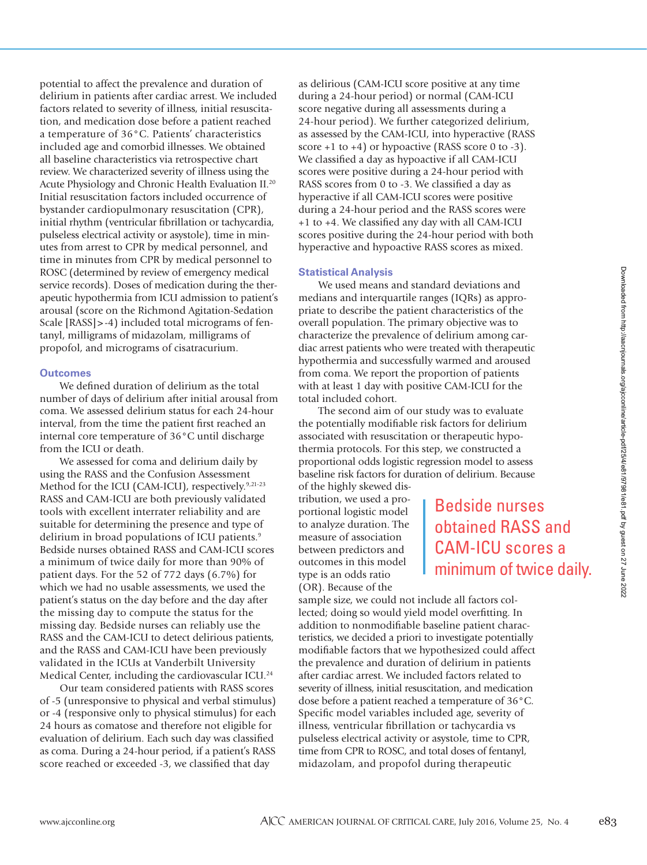potential to affect the prevalence and duration of delirium in patients after cardiac arrest. We included factors related to severity of illness, initial resuscitation, and medication dose before a patient reached a temperature of 36°C. Patients' characteristics included age and comorbid illnesses. We obtained all baseline characteristics via retrospective chart review. We characterized severity of illness using the Acute Physiology and Chronic Health Evaluation II.20 Initial resuscitation factors included occurrence of bystander cardiopulmonary resuscitation (CPR), initial rhythm (ventricular fibrillation or tachycardia, pulseless electrical activity or asystole), time in minutes from arrest to CPR by medical personnel, and time in minutes from CPR by medical personnel to ROSC (determined by review of emergency medical service records). Doses of medication during the therapeutic hypothermia from ICU admission to patient's arousal (score on the Richmond Agitation-Sedation Scale [RASS]>-4) included total micrograms of fentanyl, milligrams of midazolam, milligrams of propofol, and micrograms of cisatracurium.

#### **Outcomes**

We defined duration of delirium as the total number of days of delirium after initial arousal from coma. We assessed delirium status for each 24-hour interval, from the time the patient first reached an internal core temperature of 36°C until discharge from the ICU or death.

We assessed for coma and delirium daily by using the RASS and the Confusion Assessment Method for the ICU (CAM-ICU), respectively.<sup>9,21-23</sup> RASS and CAM-ICU are both previously validated tools with excellent interrater reliability and are suitable for determining the presence and type of delirium in broad populations of ICU patients.<sup>9</sup> Bedside nurses obtained RASS and CAM-ICU scores a minimum of twice daily for more than 90% of patient days. For the 52 of 772 days (6.7%) for which we had no usable assessments, we used the patient's status on the day before and the day after the missing day to compute the status for the missing day. Bedside nurses can reliably use the RASS and the CAM-ICU to detect delirious patients, and the RASS and CAM-ICU have been previously validated in the ICUs at Vanderbilt University Medical Center, including the cardiovascular ICU.24

Our team considered patients with RASS scores of -5 (unresponsive to physical and verbal stimulus) or -4 (responsive only to physical stimulus) for each 24 hours as comatose and therefore not eligible for evaluation of delirium. Each such day was classified as coma. During a 24-hour period, if a patient's RASS score reached or exceeded -3, we classified that day

as delirious (CAM-ICU score positive at any time during a 24-hour period) or normal (CAM-ICU score negative during all assessments during a 24-hour period). We further categorized delirium, as assessed by the CAM-ICU, into hyperactive (RASS score  $+1$  to  $+4$ ) or hypoactive (RASS score 0 to  $-3$ ). We classified a day as hypoactive if all CAM-ICU scores were positive during a 24-hour period with RASS scores from 0 to -3. We classified a day as hyperactive if all CAM-ICU scores were positive during a 24-hour period and the RASS scores were +1 to +4. We classified any day with all CAM-ICU scores positive during the 24-hour period with both hyperactive and hypoactive RASS scores as mixed.

#### **Statistical Analysis**

We used means and standard deviations and medians and interquartile ranges (IQRs) as appropriate to describe the patient characteristics of the overall population. The primary objective was to characterize the prevalence of delirium among cardiac arrest patients who were treated with therapeutic hypothermia and successfully warmed and aroused from coma. We report the proportion of patients with at least 1 day with positive CAM-ICU for the total included cohort.

The second aim of our study was to evaluate the potentially modifiable risk factors for delirium associated with resuscitation or therapeutic hypothermia protocols. For this step, we constructed a proportional odds logistic regression model to assess baseline risk factors for duration of delirium. Because

of the highly skewed distribution, we used a proportional logistic model to analyze duration. The measure of association between predictors and outcomes in this model type is an odds ratio (OR). Because of the

Bedside nurses obtained RASS and CAM-ICU scores a minimum of twice daily.

sample size, we could not include all factors collected; doing so would yield model overfitting. In addition to nonmodifiable baseline patient characteristics, we decided a priori to investigate potentially modifiable factors that we hypothesized could affect the prevalence and duration of delirium in patients after cardiac arrest. We included factors related to severity of illness, initial resuscitation, and medication dose before a patient reached a temperature of 36°C. Specific model variables included age, severity of illness, ventricular fibrillation or tachycardia vs pulseless electrical activity or asystole, time to CPR, time from CPR to ROSC, and total doses of fentanyl, midazolam, and propofol during therapeutic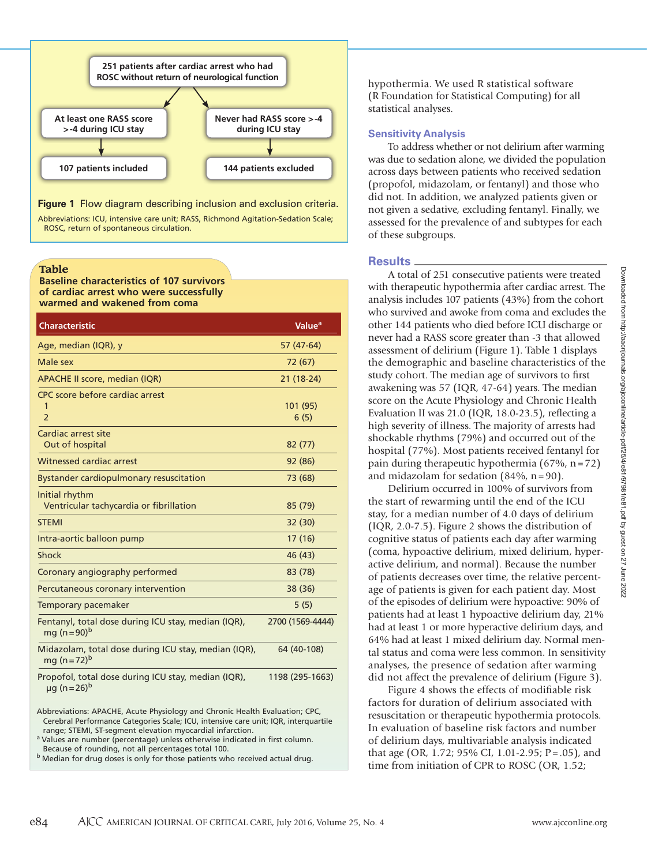

Abbreviations: ICU, intensive care unit; RASS, Richmond Agitation-Sedation Scale; ROSC, return of spontaneous circulation.

**Table**

**Baseline characteristics of 107 survivors of cardiac arrest who were successfully warmed and wakened from coma**

| <b>Characteristic</b>                                                                | Value <sup>a</sup> |
|--------------------------------------------------------------------------------------|--------------------|
| Age, median (IQR), y                                                                 | 57 (47-64)         |
| Male sex                                                                             | 72 (67)            |
| <b>APACHE II score, median (IQR)</b>                                                 | 21 (18-24)         |
| CPC score before cardiac arrest<br>$\overline{2}$                                    | 101 (95)<br>6(5)   |
| Cardiac arrest site<br>Out of hospital                                               | 82 (77)            |
| Witnessed cardiac arrest                                                             | 92 (86)            |
| <b>Bystander cardiopulmonary resuscitation</b>                                       | 73 (68)            |
| Initial rhythm<br>Ventricular tachycardia or fibrillation                            | 85 (79)            |
| <b>STEMI</b>                                                                         | 32(30)             |
| Intra-aortic balloon pump                                                            | 17(16)             |
| Shock                                                                                | 46 (43)            |
| Coronary angiography performed                                                       | 83 (78)            |
| Percutaneous coronary intervention                                                   | 38 (36)            |
| Temporary pacemaker                                                                  | 5(5)               |
| Fentanyl, total dose during ICU stay, median (IQR),<br>mg (n=90) <sup>b</sup>        | 2700 (1569-4444)   |
| Midazolam, total dose during ICU stay, median (IQR),<br>mg (n=72) <sup>b</sup>       | 64 (40-108)        |
| Propofol, total dose during ICU stay, median (IQR),<br>$\mu$ g (n = 26) <sup>b</sup> | 1198 (295-1663)    |

Abbreviations: APACHE, Acute Physiology and Chronic Health Evaluation; CPC, Cerebral Performance Categories Scale; ICU, intensive care unit; IQR, interquartile

range; STEMI, ST-segment elevation myocardial infarction.<br><sup>a</sup> Values are number (percentage) unless otherwise indicated in first column.

Because of rounding, not all percentages total 100.<br> $^{\text{b}}$  Median for drug doses is only for those patients who received actual drug.

hypothermia. We used R statistical software (R Foundation for Statistical Computing) for all statistical analyses.

#### **Sensitivity Analysis**

To address whether or not delirium after warming was due to sedation alone, we divided the population across days between patients who received sedation (propofol, midazolam, or fentanyl) and those who did not. In addition, we analyzed patients given or not given a sedative, excluding fentanyl. Finally, we assessed for the prevalence of and subtypes for each of these subgroups.

#### **Results**

A total of 251 consecutive patients were treated with therapeutic hypothermia after cardiac arrest. The analysis includes 107 patients (43%) from the cohort who survived and awoke from coma and excludes the other 144 patients who died before ICU discharge or never had a RASS score greater than -3 that allowed assessment of delirium (Figure 1). Table 1 displays the demographic and baseline characteristics of the study cohort. The median age of survivors to first awakening was 57 (IQR, 47-64) years. The median score on the Acute Physiology and Chronic Health Evaluation II was 21.0 (IQR, 18.0-23.5), reflecting a high severity of illness. The majority of arrests had shockable rhythms (79%) and occurred out of the hospital (77%). Most patients received fentanyl for pain during therapeutic hypothermia (67%, n=72) and midazolam for sedation (84%, n=90).

Delirium occurred in 100% of survivors from the start of rewarming until the end of the ICU stay, for a median number of 4.0 days of delirium (IQR, 2.0-7.5). Figure 2 shows the distribution of cognitive status of patients each day after warming (coma, hypoactive delirium, mixed delirium, hyperactive delirium, and normal). Because the number of patients decreases over time, the relative percentage of patients is given for each patient day. Most of the episodes of delirium were hypoactive: 90% of patients had at least 1 hypoactive delirium day, 21% had at least 1 or more hyperactive delirium days, and 64% had at least 1 mixed delirium day. Normal mental status and coma were less common. In sensitivity analyses, the presence of sedation after warming did not affect the prevalence of delirium (Figure 3).

Figure 4 shows the effects of modifiable risk factors for duration of delirium associated with resuscitation or therapeutic hypothermia protocols. In evaluation of baseline risk factors and number of delirium days, multivariable analysis indicated that age (OR, 1.72; 95% CI, 1.01-2.95; P=.05), and time from initiation of CPR to ROSC (OR, 1.52;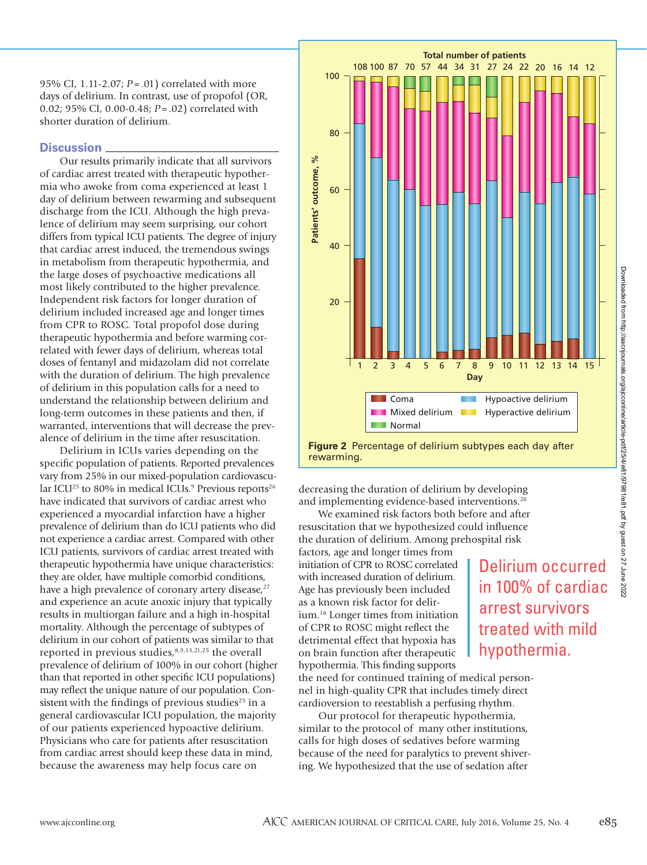95% CI, 1.11-2.07; *P*=.01) correlated with more days of delirium. In contrast, use of propofol (OR, 0.02; 95% CI, 0.00-0.48; *P*=.02) correlated with shorter duration of delirium.

#### **Discussion**

Our results primarily indicate that all survivors of cardiac arrest treated with therapeutic hypothermia who awoke from coma experienced at least 1 day of delirium between rewarming and subsequent discharge from the ICU. Although the high prevalence of delirium may seem surprising, our cohort differs from typical ICU patients. The degree of injury that cardiac arrest induced, the tremendous swings in metabolism from therapeutic hypothermia, and the large doses of psychoactive medications all most likely contributed to the higher prevalence. Independent risk factors for longer duration of delirium included increased age and longer times from CPR to ROSC. Total propofol dose during therapeutic hypothermia and before warming correlated with fewer days of delirium, whereas total doses of fentanyl and midazolam did not correlate with the duration of delirium. The high prevalence of delirium in this population calls for a need to understand the relationship between delirium and long-term outcomes in these patients and then, if warranted, interventions that will decrease the prevalence of delirium in the time after resuscitation.

Delirium in ICUs varies depending on the specific population of patients. Reported prevalences vary from 25% in our mixed-population cardiovascular ICU<sup>25</sup> to 80% in medical ICUs.<sup>9</sup> Previous reports<sup>26</sup> have indicated that survivors of cardiac arrest who experienced a myocardial infarction have a higher prevalence of delirium than do ICU patients who did not experience a cardiac arrest. Compared with other ICU patients, survivors of cardiac arrest treated with therapeutic hypothermia have unique characteristics: they are older, have multiple comorbid conditions, have a high prevalence of coronary artery disease,<sup>27</sup> and experience an acute anoxic injury that typically results in multiorgan failure and a high in-hospital mortality. Although the percentage of subtypes of delirium in our cohort of patients was similar to that reported in previous studies,8,9,13,21,25 the overall prevalence of delirium of 100% in our cohort (higher than that reported in other specific ICU populations) may reflect the unique nature of our population. Consistent with the findings of previous studies<sup>25</sup> in a general cardiovascular ICU population, the majority of our patients experienced hypoactive delirium. Physicians who care for patients after resuscitation from cardiac arrest should keep these data in mind, because the awareness may help focus care on



**Figure 2** Percentage of delirium subtypes each day after rewarming.

decreasing the duration of delirium by developing and implementing evidence-based interventions.<sup>28</sup>

We examined risk factors both before and after resuscitation that we hypothesized could influence the duration of delirium. Among prehospital risk

factors, age and longer times from initiation of CPR to ROSC correlated with increased duration of delirium. Age has previously been included as a known risk factor for delirium.16 Longer times from initiation of CPR to ROSC might reflect the detrimental effect that hypoxia has on brain function after therapeutic hypothermia. This finding supports

Delirium occurred in 100% of cardiac arrest survivors treated with mild hypothermia.

the need for continued training of medical personnel in high-quality CPR that includes timely direct cardioversion to reestablish a perfusing rhythm.

Our protocol for therapeutic hypothermia, similar to the protocol of many other institutions, calls for high doses of sedatives before warming because of the need for paralytics to prevent shivering. We hypothesized that the use of sedation after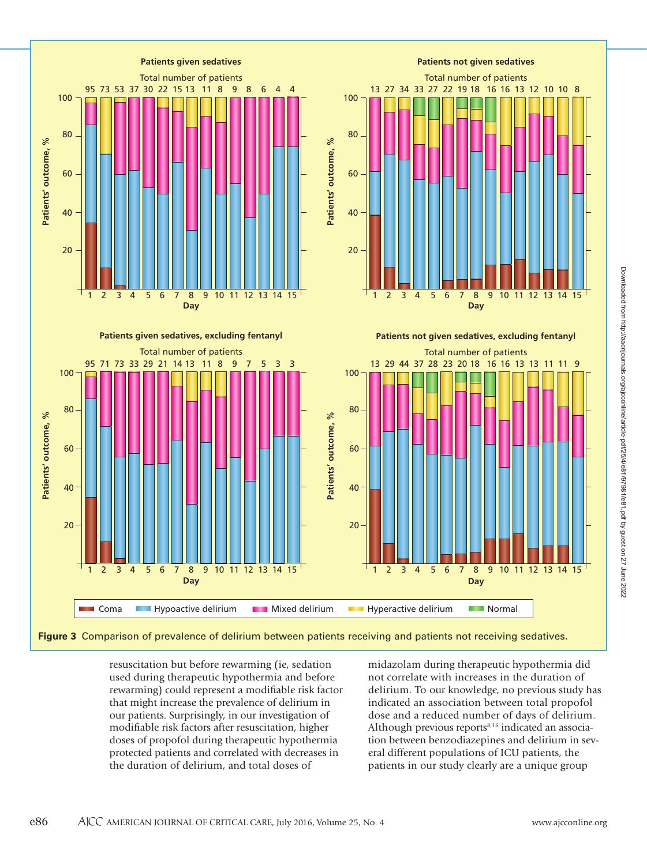

**Figure 3** Comparison of prevalence of delirium between patients receiving and patients not receiving sedatives.

resuscitation but before rewarming (ie, sedation used during therapeutic hypothermia and before rewarming) could represent a modifiable risk factor that might increase the prevalence of delirium in our patients. Surprisingly, in our investigation of modifiable risk factors after resuscitation, higher doses of propofol during therapeutic hypothermia protected patients and correlated with decreases in the duration of delirium, and total doses of

midazolam during therapeutic hypothermia did not correlate with increases in the duration of delirium. To our knowledge, no previous study has indicated an association between total propofol dose and a reduced number of days of delirium. Although previous reports<sup>8,16</sup> indicated an association between benzodiazepines and delirium in several different populations of ICU patients, the patients in our study clearly are a unique group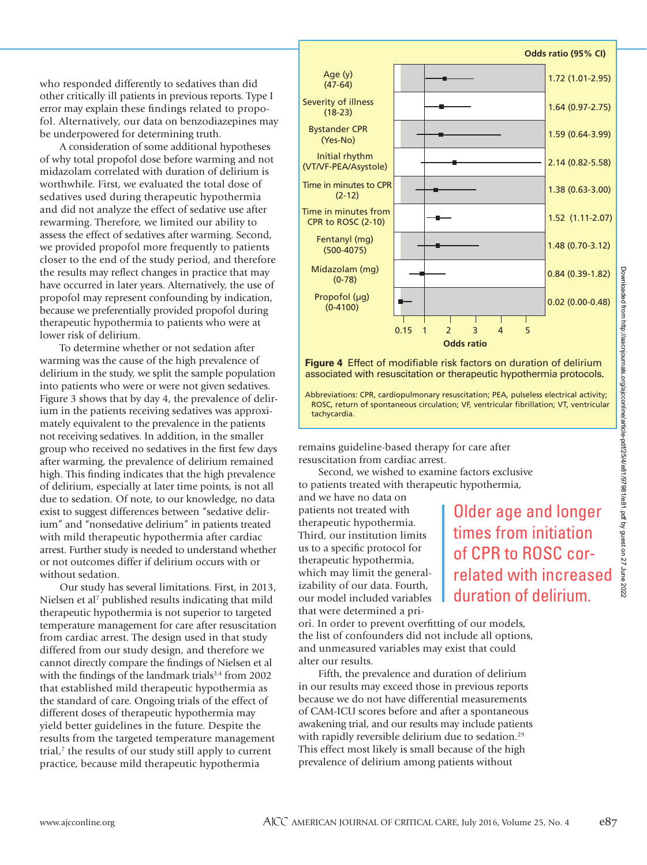who responded differently to sedatives than did other critically ill patients in previous reports. Type I error may explain these findings related to propofol. Alternatively, our data on benzodiazepines may be underpowered for determining truth.

A consideration of some additional hypotheses of why total propofol dose before warming and not midazolam correlated with duration of delirium is worthwhile. First, we evaluated the total dose of sedatives used during therapeutic hypothermia and did not analyze the effect of sedative use after rewarming. Therefore, we limited our ability to assess the effect of sedatives after warming. Second, we provided propofol more frequently to patients closer to the end of the study period, and therefore the results may reflect changes in practice that may have occurred in later years. Alternatively, the use of propofol may represent confounding by indication, because we preferentially provided propofol during therapeutic hypothermia to patients who were at lower risk of delirium.

To determine whether or not sedation after warming was the cause of the high prevalence of delirium in the study, we split the sample population into patients who were or were not given sedatives. Figure 3 shows that by day 4, the prevalence of delirium in the patients receiving sedatives was approximately equivalent to the prevalence in the patients not receiving sedatives. In addition, in the smaller group who received no sedatives in the first few days after warming, the prevalence of delirium remained high. This finding indicates that the high prevalence of delirium, especially at later time points, is not all due to sedation. Of note, to our knowledge, no data exist to suggest differences between "sedative delirium" and "nonsedative delirium" in patients treated with mild therapeutic hypothermia after cardiac arrest. Further study is needed to understand whether or not outcomes differ if delirium occurs with or without sedation.

Our study has several limitations. First, in 2013, Nielsen et al<sup>7</sup> published results indicating that mild therapeutic hypothermia is not superior to targeted temperature management for care after resuscitation from cardiac arrest. The design used in that study differed from our study design, and therefore we cannot directly compare the findings of Nielsen et al with the findings of the landmark trials<sup>3,4</sup> from 2002 that established mild therapeutic hypothermia as the standard of care. Ongoing trials of the effect of different doses of therapeutic hypothermia may yield better guidelines in the future. Despite the results from the targeted temperature management trial,7 the results of our study still apply to current practice, because mild therapeutic hypothermia



**Figure 4** Effect of modifiable risk factors on duration of delirium associated with resuscitation or therapeutic hypothermia protocols.

Abbreviations: CPR, cardiopulmonary resuscitation; PEA, pulseless electrical activity; ROSC, return of spontaneous circulation; VF, ventricular fibrillation; VT, ventricular tachycardia.

remains guideline-based therapy for care after resuscitation from cardiac arrest.

Second, we wished to examine factors exclusive to patients treated with therapeutic hypothermia, and we have no data on

patients not treated with therapeutic hypothermia. Third, our institution limits us to a specific protocol for therapeutic hypothermia, which may limit the generalizability of our data. Fourth, our model included variables that were determined a pri-

Older age and longer times from initiation of CPR to ROSC correlated with increased duration of delirium.

ori. In order to prevent overfitting of our models, the list of confounders did not include all options, and unmeasured variables may exist that could alter our results.

Fifth, the prevalence and duration of delirium in our results may exceed those in previous reports because we do not have differential measurements of CAM-ICU scores before and after a spontaneous awakening trial, and our results may include patients with rapidly reversible delirium due to sedation.<sup>29</sup> This effect most likely is small because of the high prevalence of delirium among patients without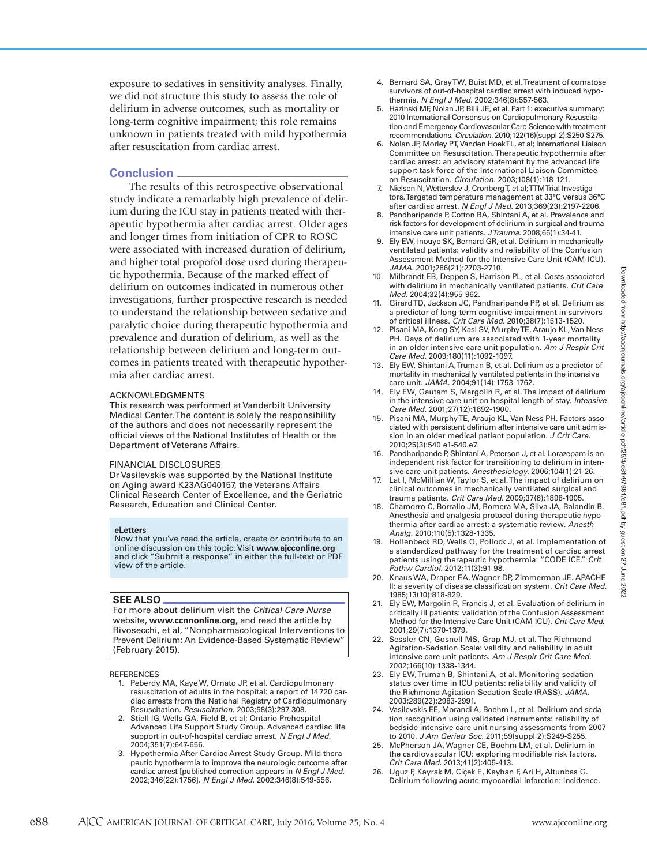exposure to sedatives in sensitivity analyses. Finally, we did not structure this study to assess the role of delirium in adverse outcomes, such as mortality or long-term cognitive impairment; this role remains unknown in patients treated with mild hypothermia after resuscitation from cardiac arrest.

# **Conclusion**

The results of this retrospective observational study indicate a remarkably high prevalence of delirium during the ICU stay in patients treated with therapeutic hypothermia after cardiac arrest. Older ages and longer times from initiation of CPR to ROSC were associated with increased duration of delirium, and higher total propofol dose used during therapeutic hypothermia. Because of the marked effect of delirium on outcomes indicated in numerous other investigations, further prospective research is needed to understand the relationship between sedative and paralytic choice during therapeutic hypothermia and prevalence and duration of delirium, as well as the relationship between delirium and long-term outcomes in patients treated with therapeutic hypothermia after cardiac arrest.

#### ACKNOWLEDGMENTS

This research was performed at Vanderbilt University Medical Center. The content is solely the responsibility of the authors and does not necessarily represent the official views of the National Institutes of Health or the Department of Veterans Affairs.

#### FINANCIAL DISCLOSURES

Dr Vasilevskis was supported by the National Institute on Aging award K23AG040157, the Veterans Affairs Clinical Research Center of Excellence, and the Geriatric Research, Education and Clinical Center.

#### **eLetters**

Now that you've read the article, create or contribute to an online discussion on this topic. Visit **www.ajcconline.org** and click "Submit a response" in either the full-text or PDF view of the article.

## **SEE ALSO**

For more about delirium visit the *Critical Care Nurse* website, **www.ccnnonline.org**, and read the article by Rivosecchi, et al, "Nonpharmacological Interventions to Prevent Delirium: An Evidence-Based Systematic Review" (February 2015).

REFERENCES

- 1. Peberdy MA, Kaye W, Ornato JP, et al. Cardiopulmonary resuscitation of adults in the hospital: a report of 14720 cardiac arrests from the National Registry of Cardiopulmonary Resuscitation. *Resuscitation.* 2003;58(3):297-308.
- 2. Stiell IG, Wells GA, Field B, et al; Ontario Prehospital Advanced Life Support Study Group. Advanced cardiac life support in out-of-hospital cardiac arrest. *N Engl J Med.* 2004;351(7):647-656.
- 3. Hypothermia After Cardiac Arrest Study Group. Mild therapeutic hypothermia to improve the neurologic outcome after cardiac arrest [published correction appears in *N Engl J Med.* 2002;346(22):1756]. *N Engl J Med.* 2002;346(8):549-556.
- 4. Bernard SA, Gray TW, Buist MD, et al. Treatment of comatose survivors of out-of-hospital cardiac arrest with induced hypothermia. *N Engl J Med.* 2002;346(8):557-563.
- 5. Hazinski MF, Nolan JP, Billi JE, et al. Part 1: executive summary: 2010 International Consensus on Cardiopulmonary Resuscitation and Emergency Cardiovascular Care Science with treatment recommendations. *Circulation.* 2010;122(16)(suppl 2):S250-S275.
- 6. Nolan JP, Morley PT, Vanden Hoek TL, et al; International Liaison Committee on Resuscitation. Therapeutic hypothermia after cardiac arrest: an advisory statement by the advanced life support task force of the International Liaison Committee on Resuscitation. *Circulation.* 2003;108(1):118-121.
- 7. Nielsen N, Wetterslev J, Cronberg T, et al; TTM Trial Investigators. Targeted temperature management at 33°C versus 36°C after cardiac arrest. *N Engl J Med.* 2013;369(23):2197-2206.
- 8. Pandharipande P, Cotton BA, Shintani A, et al. Prevalence and risk factors for development of delirium in surgical and trauma intensive care unit patients. *J Trauma.* 2008;65(1):34-41.
- 9. Ely EW, Inouye SK, Bernard GR, et al. Delirium in mechanically ventilated patients: validity and reliability of the Confusion Assessment Method for the Intensive Care Unit (CAM-ICU). *JAMA.* 2001;286(21):2703-2710.
- 10. Milbrandt EB, Deppen S, Harrison PL, et al. Costs associated with delirium in mechanically ventilated patients. *Crit Care Med.* 2004;32(4):955-962.
- 11. Girard TD, Jackson JC, Pandharipande PP, et al. Delirium as a predictor of long-term cognitive impairment in survivors of critical illness. *Crit Care Med.* 2010;38(7):1513-1520.
- 12. Pisani MA, Kong SY, Kasl SV, Murphy TE, Araujo KL, Van Ness PH. Days of delirium are associated with 1-year mortality in an older intensive care unit population. *Am J Respir Crit Care Med.* 2009;180(11):1092-1097.
- 13. Ely EW, Shintani A, Truman B, et al. Delirium as a predictor of mortality in mechanically ventilated patients in the intensive care unit. JAMA. 2004;91(14):1753-1762.
- 14. Ely EW, Gautam S, Margolin R, et al. The impact of delirium in the intensive care unit on hospital length of stay. *Intensive Care Med.* 2001;27(12):1892-1900.
- 15. Pisani MA, Murphy TE, Araujo KL, Van Ness PH. Factors associated with persistent delirium after intensive care unit admission in an older medical patient population. *J Crit Care.* 2010;25(3):540 e1-540.e7.
- 16. Pandharipande P, Shintani A, Peterson J, et al. Lorazepam is an independent risk factor for transitioning to delirium in intensive care unit patients. *Anesthesiology.* 2006;104(1):21-26.
- 17. Lat I, McMillian W, Taylor S, et al. The impact of delirium on clinical outcomes in mechanically ventilated surgical and trauma patients. *Crit Care Med.* 2009;37(6):1898-1905.
- 18. Chamorro C, Borrallo JM, Romera MA, Silva JA, Balandin B. Anesthesia and analgesia protocol during therapeutic hypothermia after cardiac arrest: a systematic review. *Anesth Analg.* 2010;110(5):1328-1335.
- 19. Hollenbeck RD, Wells Q, Pollock J, et al. Implementation of a standardized pathway for the treatment of cardiac arrest patients using therapeutic hypothermia: "CODE ICE." *Crit Pathw Cardiol.* 2012;11(3):91-98.
- 20. Knaus WA, Draper EA, Wagner DP, Zimmerman JE. APACHE II: a severity of disease classification system. *Crit Care Med.*  1985;13(10):818-829.
- 21. Ely EW, Margolin R, Francis J, et al. Evaluation of delirium in critically ill patients: validation of the Confusion Assessment Method for the Intensive Care Unit (CAM-ICU). *Crit Care Med.* 2001;29(7):1370-1379.
- 22. Sessler CN, Gosnell MS, Grap MJ, et al. The Richmond Agitation-Sedation Scale: validity and reliability in adult intensive care unit patients. *Am J Respir Crit Care Med.* 2002;166(10):1338-1344.
- 23. Ely EW, Truman B, Shintani A, et al. Monitoring sedation status over time in ICU patients: reliability and validity of the Richmond Agitation-Sedation Scale (RASS). *JAMA.* 2003;289(22):2983-2991.
- 24. Vasilevskis EE, Morandi A, Boehm L, et al. Delirium and sedation recognition using validated instruments: reliability of bedside intensive care unit nursing assessments from 2007 to 2010. *J Am Geriatr Soc.* 2011;59(suppl 2):S249-S255.
- 25. McPherson JA, Wagner CE, Boehm LM, et al. Delirium in the cardiovascular ICU: exploring modifiable risk factors. *Crit Care Med.* 2013;41(2):405-413.
- 26. Uguz F, Kayrak M, Cíçek E, Kayhan F, Ari H, Altunbas G. Delirium following acute myocardial infarction: incidence,